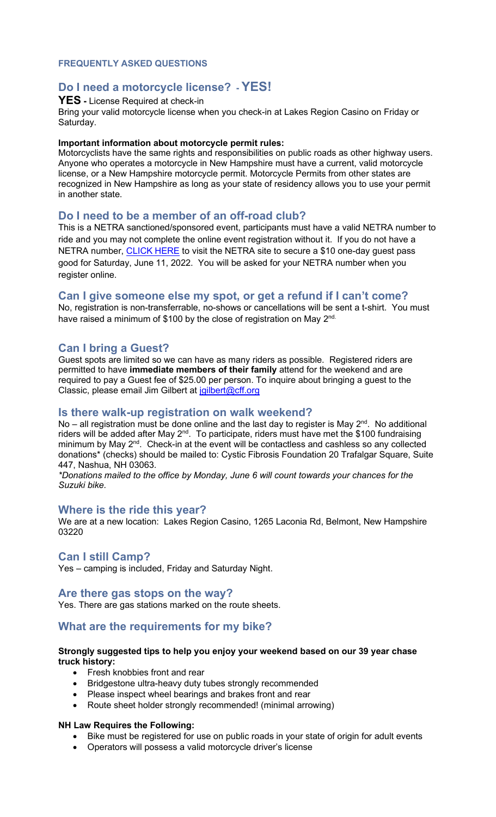### **FREQUENTLY ASKED QUESTIONS**

# **Do I need a motorcycle license? - YES!**

### **YES -** License Required at check-in

Bring your valid motorcycle license when you check-in at Lakes Region Casino on Friday or Saturday.

#### **Important information about motorcycle permit rules:**

Motorcyclists have the same rights and responsibilities on public roads as other highway users. Anyone who operates a motorcycle in New Hampshire must have a current, valid motorcycle license, or a New Hampshire motorcycle permit. Motorcycle Permits from other states are recognized in New Hampshire as long as your state of residency allows you to use your permit in another state.

### **Do I need to be a member of an off-road club?**

This is a NETRA sanctioned/sponsored event, participants must have a valid NETRA number to ride and you may not complete the online event registration without it. If you do not have a NETRA number, [CLICK HERE](https://nam11.safelinks.protection.outlook.com/?url=https%3A%2F%2Fwww.netra.org%2Fproduct%2Fcff-new-england-classic-charity-ride-netra-one-day-guest-pass&data=04%7C01%7Cloconnor%40cff.org%7C16c94407b0154546e51208d9e17f7db5%7Cf581bf53aa87446b9a4fd85c3510df63%7C0%7C0%7C637788759959957666%7CUnknown%7CTWFpbGZsb3d8eyJWIjoiMC4wLjAwMDAiLCJQIjoiV2luMzIiLCJBTiI6Ik1haWwiLCJXVCI6Mn0%3D%7C3000&sdata=6hUz4aEAspaqFdBuCP2zmUVBm1eMPmg2TWXJSAMW3hQ%3D&reserved=0) to visit the NETRA site to secure a \$10 one-day guest pass good for Saturday, June 11, 2022. You will be asked for your NETRA number when you register online.

# **Can I give someone else my spot, or get a refund if I can't come?**

No, registration is non-transferrable, no-shows or cancellations will be sent a t-shirt. You must have raised a minimum of \$100 by the close of registration on May 2nd.

### **Can I bring a Guest?**

Guest spots are limited so we can have as many riders as possible. Registered riders are permitted to have **immediate members of their family** attend for the weekend and are required to pay a Guest fee of \$25.00 per person. To inquire about bringing a guest to the Classic, please email Jim Gilbert at [jgilbert@cff.org](mailto:jgilbert@cff.org)

#### **Is there walk-up registration on walk weekend?**

No – all registration must be done online and the last day to register is May  $2^{nd}$ . No additional riders will be added after May  $2^{nd}$ . To participate, riders must have met the \$100 fundraising minimum by May 2<sup>nd</sup>. Check-in at the event will be contactless and cashless so any collected donations\* (checks) should be mailed to: Cystic Fibrosis Foundation 20 Trafalgar Square, Suite 447, Nashua, NH 03063.

*\*Donations mailed to the office by Monday, June 6 will count towards your chances for the Suzuki bike.*

#### **Where is the ride this year?**

We are at a new location: Lakes Region Casino, 1265 Laconia Rd, Belmont, New Hampshire 03220

### **Can I still Camp?**

Yes – camping is included, Friday and Saturday Night.

#### **Are there gas stops on the way?**

Yes. There are gas stations marked on the route sheets.

# **What are the requirements for my bike?**

#### **Strongly suggested tips to help you enjoy your weekend based on our 39 year chase truck history:**

- Fresh knobbies front and rear
- Bridgestone ultra-heavy duty tubes strongly recommended
- Please inspect wheel bearings and brakes front and rear
- Route sheet holder strongly recommended! (minimal arrowing)

#### **NH Law Requires the Following:**

- Bike must be registered for use on public roads in your state of origin for adult events
- Operators will possess a valid motorcycle driver's license